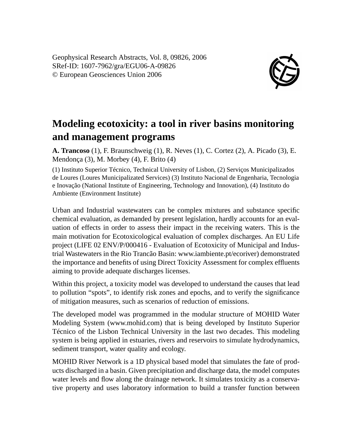Geophysical Research Abstracts, Vol. 8, 09826, 2006 SRef-ID: 1607-7962/gra/EGU06-A-09826 © European Geosciences Union 2006



## **Modeling ecotoxicity: a tool in river basins monitoring and management programs**

**A. Trancoso** (1), F. Braunschweig (1), R. Neves (1), C. Cortez (2), A. Picado (3), E. Mendonça (3), M. Morbey (4), F. Brito (4)

(1) Instituto Superior Técnico, Technical University of Lisbon, (2) Serviços Municipalizados de Loures (Loures Municipalizated Services) (3) Instituto Nacional de Engenharia, Tecnologia e Inovação (National Institute of Engineering, Technology and Innovation), (4) Instituto do Ambiente (Environment Institute)

Urban and Industrial wastewaters can be complex mixtures and substance specific chemical evaluation, as demanded by present legislation, hardly accounts for an evaluation of effects in order to assess their impact in the receiving waters. This is the main motivation for Ecotoxicological evaluation of complex discharges. An EU Life project (LIFE 02 ENV/P/000416 - Evaluation of Ecotoxicity of Municipal and Industrial Wastewaters in the Rio Trancão Basin: www.iambiente.pt/ecoriver) demonstrated the importance and benefits of using Direct Toxicity Assessment for complex effluents aiming to provide adequate discharges licenses.

Within this project, a toxicity model was developed to understand the causes that lead to pollution "spots", to identify risk zones and epochs, and to verify the significance of mitigation measures, such as scenarios of reduction of emissions.

The developed model was programmed in the modular structure of MOHID Water Modeling System (www.mohid.com) that is being developed by Instituto Superior Técnico of the Lisbon Technical University in the last two decades. This modeling system is being applied in estuaries, rivers and reservoirs to simulate hydrodynamics, sediment transport, water quality and ecology.

MOHID River Network is a 1D physical based model that simulates the fate of products discharged in a basin. Given precipitation and discharge data, the model computes water levels and flow along the drainage network. It simulates toxicity as a conservative property and uses laboratory information to build a transfer function between